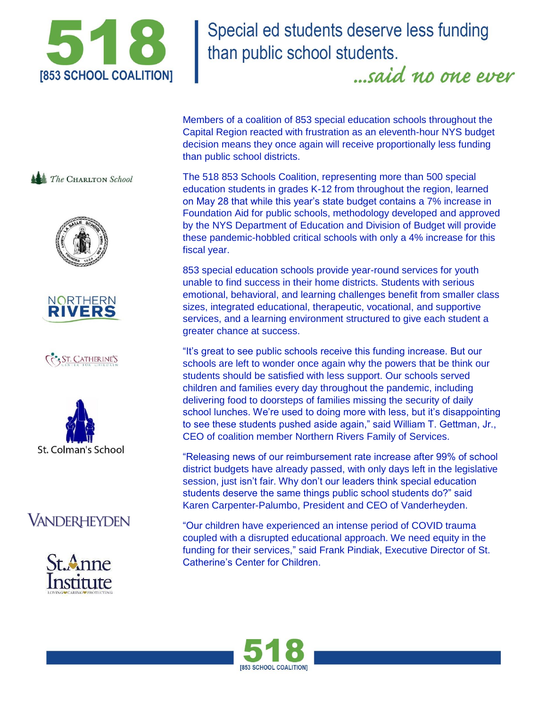

Special ed students deserve less funding than public school students.

...said no one ever

Members of a coalition of 853 special education schools throughout the Capital Region reacted with frustration as an eleventh-hour NYS budget decision means they once again will receive proportionally less funding than public school districts.

The 518 853 Schools Coalition, representing more than 500 special education students in grades K-12 from throughout the region, learned on May 28 that while this year's state budget contains a 7% increase in Foundation Aid for public schools, methodology developed and approved by the NYS Department of Education and Division of Budget will provide these pandemic-hobbled critical schools with only a 4% increase for this fiscal year.

853 special education schools provide year-round services for youth unable to find success in their home districts. Students with serious emotional, behavioral, and learning challenges benefit from smaller class sizes, integrated educational, therapeutic, vocational, and supportive services, and a learning environment structured to give each student a greater chance at success.

"It's great to see public schools receive this funding increase. But our schools are left to wonder once again why the powers that be think our students should be satisfied with less support. Our schools served children and families every day throughout the pandemic, including delivering food to doorsteps of families missing the security of daily school lunches. We're used to doing more with less, but it's disappointing to see these students pushed aside again," said William T. Gettman, Jr., CEO of coalition member Northern Rivers Family of Services.

"Releasing news of our reimbursement rate increase after 99% of school district budgets have already passed, with only days left in the legislative session, just isn't fair. Why don't our leaders think special education students deserve the same things public school students do?" said Karen Carpenter-Palumbo, President and CEO of Vanderheyden.

"Our children have experienced an intense period of COVID trauma coupled with a disrupted educational approach. We need equity in the funding for their services," said Frank Pindiak, Executive Director of St. Catherine's Center for Children.



The CHARLTON School





ST. CATHERINE'S



## **VANDERHEYDEN**